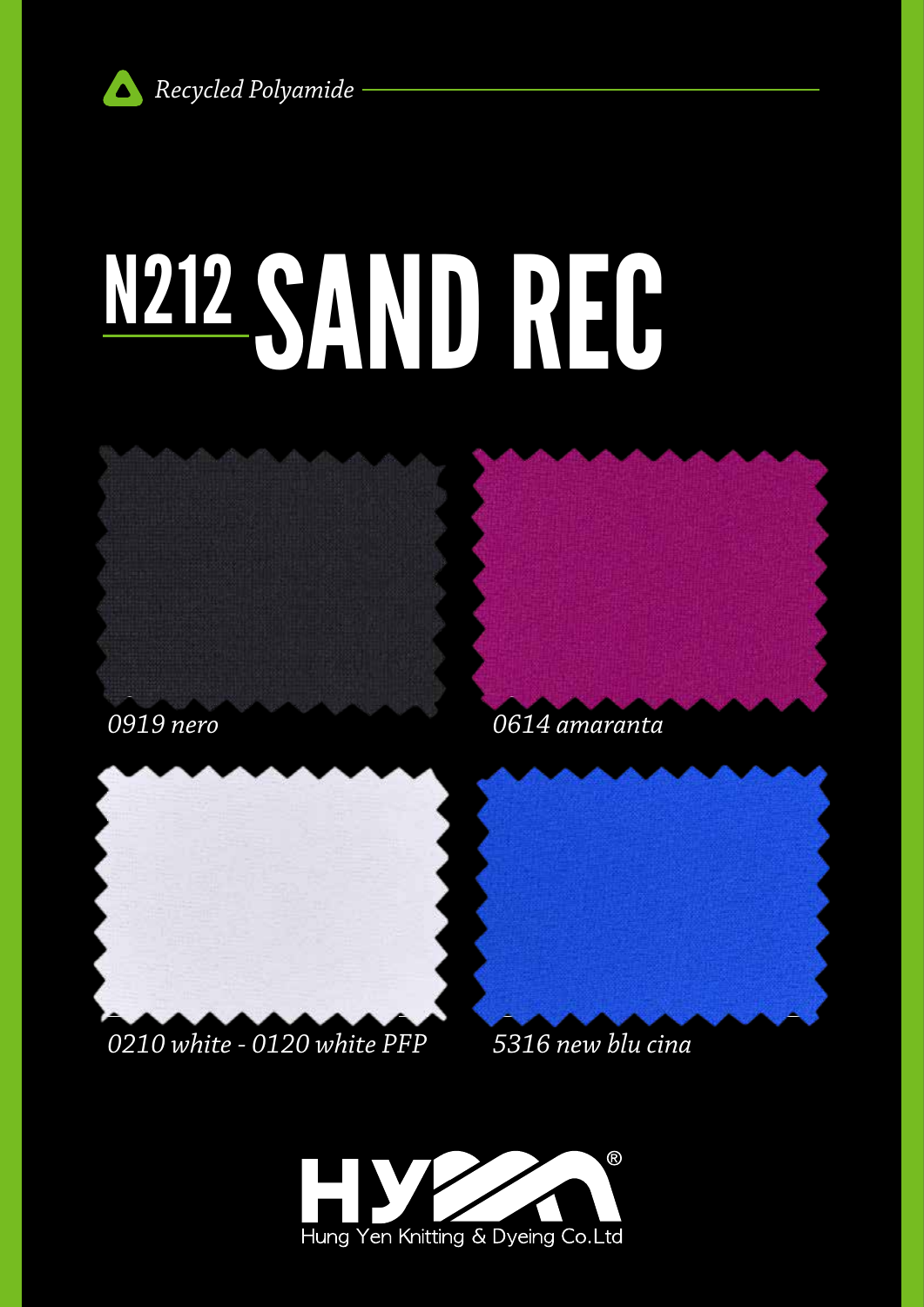

# N212 SANDREG



0614 amaranta



### 0210 white - 0120 white PFP

5316 new blu cina